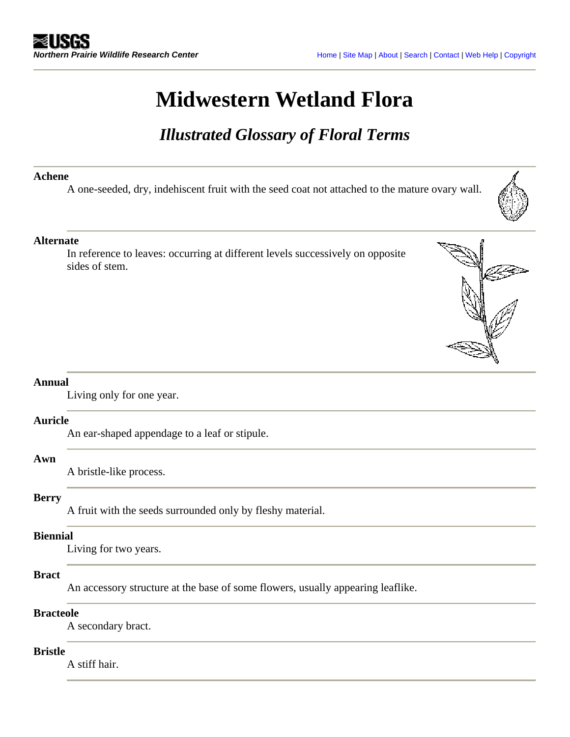# **Midwestern Wetland Flora**

# *Illustrated Glossary of Floral Terms*

### **Achene**

A one-seeded, dry, indehiscent fruit with the seed coat not attached to the mature ovary wall.

# **Alternate**

In reference to leaves: occurring at different levels successively on opposite sides of stem.

### **Annual**

Living only for one year.

### **Auricle**

An ear-shaped appendage to a leaf or stipule.

#### **Awn**

A bristle-like process.

# **Berry**

A fruit with the seeds surrounded only by fleshy material.

### **Biennial**

Living for two years.

# **Bract**

An accessory structure at the base of some flowers, usually appearing leaflike.

### **Bracteole**

A secondary bract.

# **Bristle**

A stiff hair.

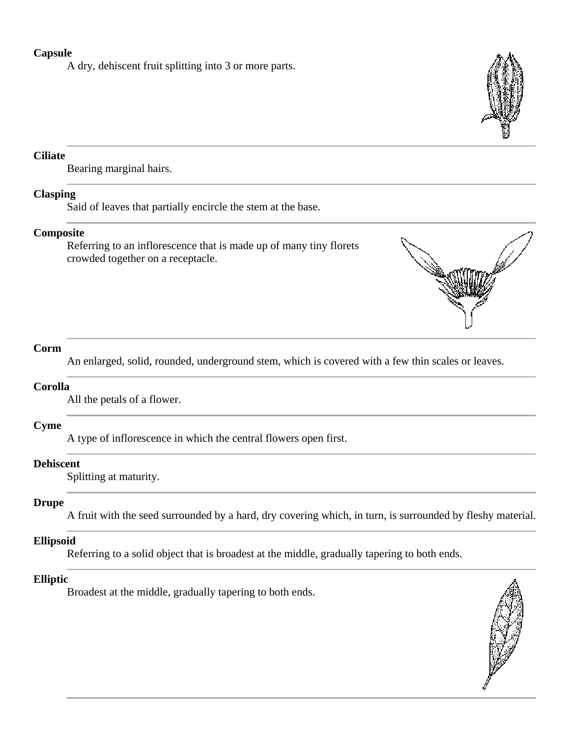# **Capsule**

A dry, dehiscent fruit splitting into 3 or more parts.



# **Ciliate**

Bearing marginal hairs.

### **Clasping**

Said of leaves that partially encircle the stem at the base.

### **Composite**

Referring to an inflorescence that is made up of many tiny florets crowded together on a receptacle.



# **Corm**

An enlarged, solid, rounded, underground stem, which is covered with a few thin scales or leaves.

# **Corolla**

All the petals of a flower.

# **Cyme**

A type of inflorescence in which the central flowers open first.

### **Dehiscent**

Splitting at maturity.

### **Drupe**

A fruit with the seed surrounded by a hard, dry covering which, in turn, is surrounded by fleshy material.

### **Ellipsoid**

Referring to a solid object that is broadest at the middle, gradually tapering to both ends.

# **Elliptic**

Broadest at the middle, gradually tapering to both ends.

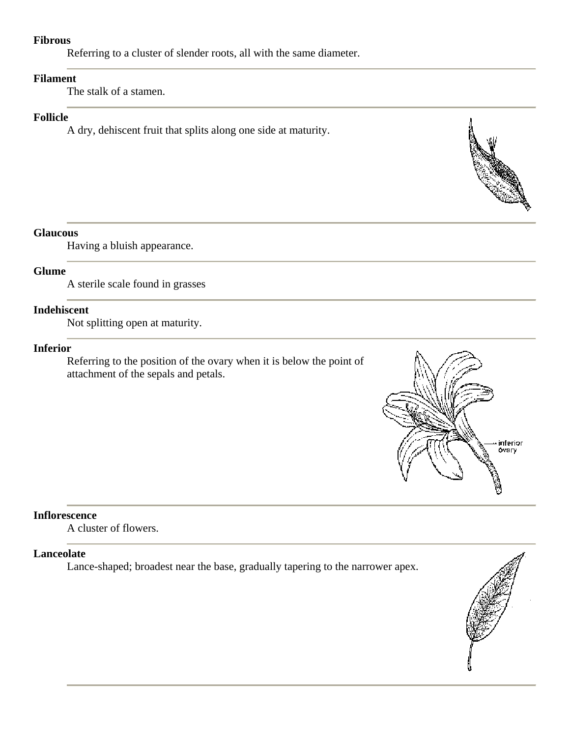### **Fibrous**

Referring to a cluster of slender roots, all with the same diameter.

# **Filament**

The stalk of a stamen.

### **Follicle**

A dry, dehiscent fruit that splits along one side at maturity.

# **Glaucous**

Having a bluish appearance.

### **Glume**

A sterile scale found in grasses

# **Indehiscent**

Not splitting open at maturity.

# **Inferior**

Referring to the position of the ovary when it is below the point of attachment of the sepals and petals.



### **Inflorescence**

A cluster of flowers.

### **Lanceolate**

Lance-shaped; broadest near the base, gradually tapering to the narrower apex.

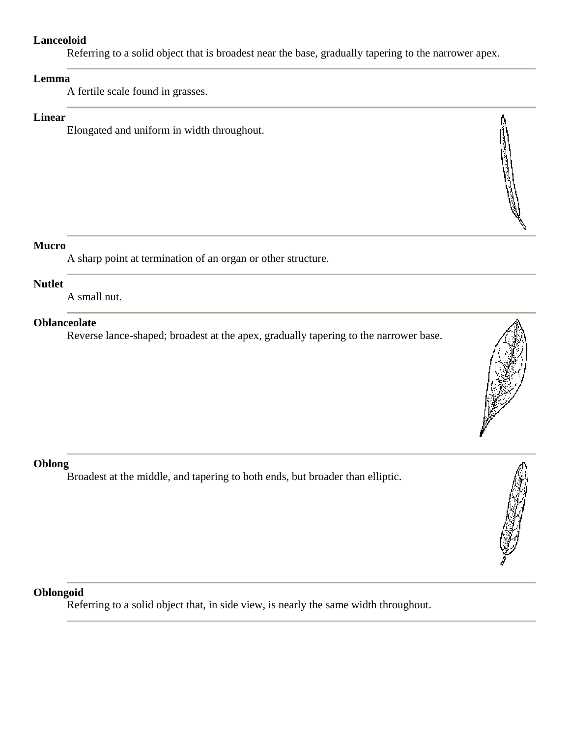# **Lanceoloid**

Referring to a solid object that is broadest near the base, gradually tapering to the narrower apex.

# **Lemma**

A fertile scale found in grasses.

# **Linear**

Elongated and uniform in width throughout.

# **Mucro**

A sharp point at termination of an organ or other structure.

### **Nutlet**

A small nut.

# **Oblanceolate**

Reverse lance-shaped; broadest at the apex, gradually tapering to the narrower base.



Broadest at the middle, and tapering to both ends, but broader than elliptic.



Referring to a solid object that, in side view, is nearly the same width throughout.



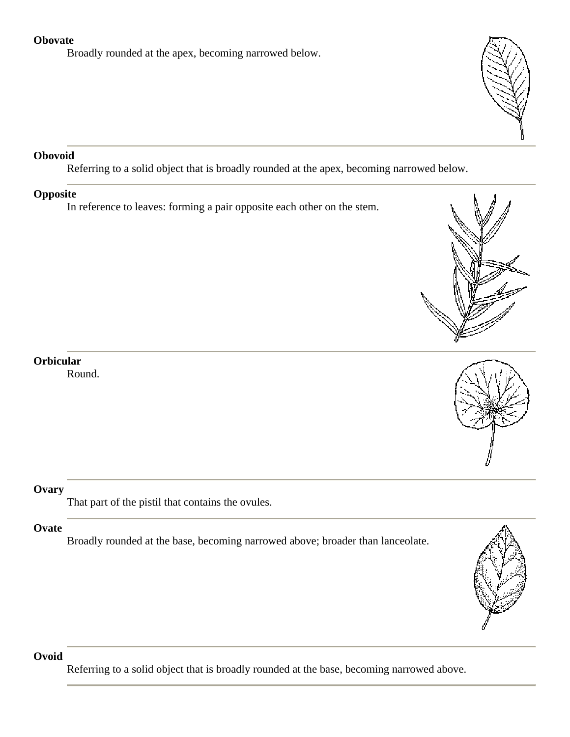# **Obovate**

Broadly rounded at the apex, becoming narrowed below.



# **Obovoid**

Referring to a solid object that is broadly rounded at the apex, becoming narrowed below.

# **Opposite**

In reference to leaves: forming a pair opposite each other on the stem.





# **Orbicular**

Round.

# **Ovary**

That part of the pistil that contains the ovules.

# **Ovate**

Broadly rounded at the base, becoming narrowed above; broader than lanceolate.



# **Ovoid**

Referring to a solid object that is broadly rounded at the base, becoming narrowed above.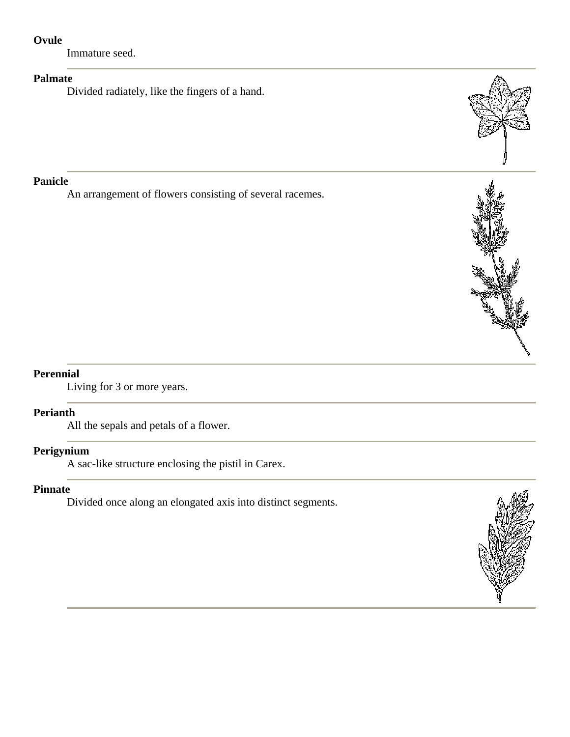# **Ovule**

Immature seed.

# **Palmate**

Divided radiately, like the fingers of a hand.

# **Panicle**

An arrangement of flowers consisting of several racemes.



# **Perennial**

Living for 3 or more years.

# **Perianth**

All the sepals and petals of a flower.

# **Perigynium**

A sac-like structure enclosing the pistil in Carex.

### **Pinnate**

Divided once along an elongated axis into distinct segments.

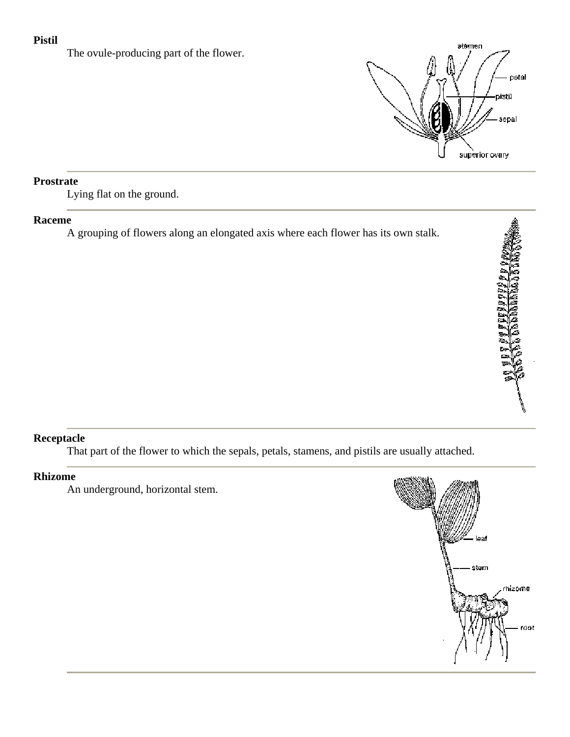# **Pistil**

The ovule-producing part of the flower.



# **Prostrate**

Lying flat on the ground.

### **Raceme**

A grouping of flowers along an elongated axis where each flower has its own stalk.

# **Receptacle**

That part of the flower to which the sepals, petals, stamens, and pistils are usually attached.

# **Rhizome**

An underground, horizontal stem.

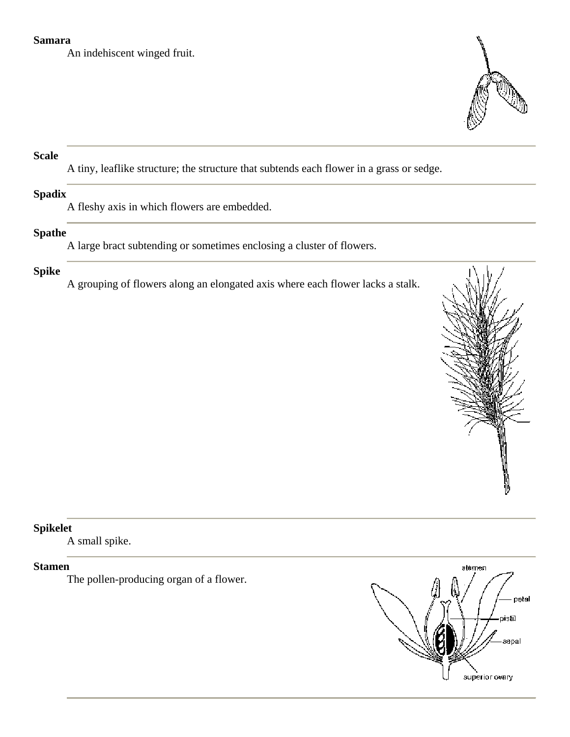### **Samara**

An indehiscent winged fruit.



# **Scale**

A tiny, leaflike structure; the structure that subtends each flower in a grass or sedge.

# **Spadix**

A fleshy axis in which flowers are embedded.

# **Spathe**

A large bract subtending or sometimes enclosing a cluster of flowers.

# **Spike**

A grouping of flowers along an elongated axis where each flower lacks a stalk.



# **Spikelet**

A small spike.

# **Stamen**

The pollen-producing organ of a flower.

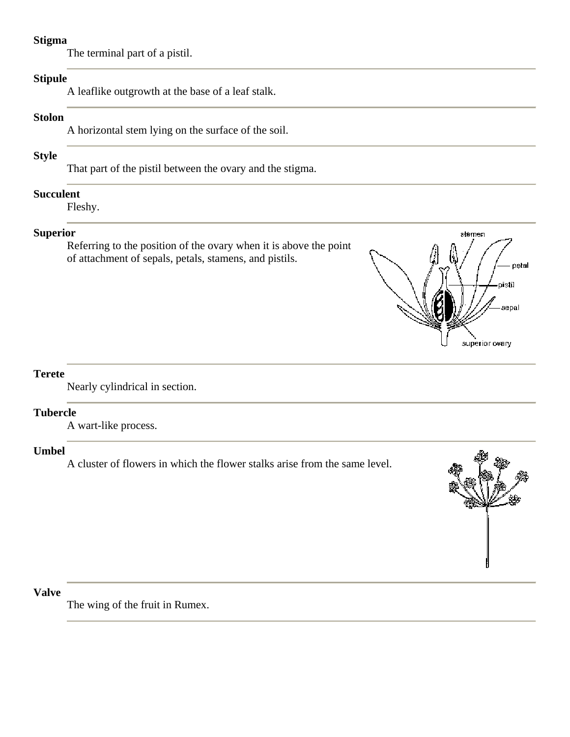### **Stigma**

The terminal part of a pistil.

# **Stipule**

A leaflike outgrowth at the base of a leaf stalk.

### **Stolon**

A horizontal stem lying on the surface of the soil.

# **Style**

That part of the pistil between the ovary and the stigma.

### **Succulent**

Fleshy.

# **Superior**

Referring to the position of the ovary when it is above the point of attachment of sepals, petals, stamens, and pistils.



# **Terete**

Nearly cylindrical in section.

### **Tubercle**

A wart-like process.

# **Umbel**

A cluster of flowers in which the flower stalks arise from the same level.



# **Valve**

The wing of the fruit in Rumex.